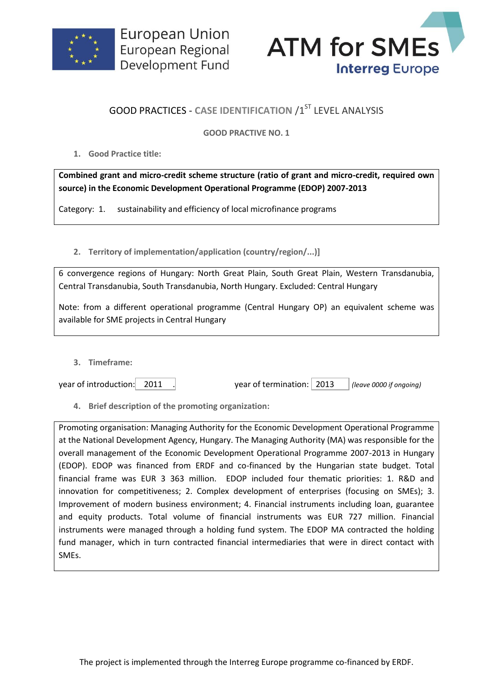



## **GOOD PRACTICES - CASE IDENTIFICATION /1ST LEVEL ANALYSIS**

## **GOOD PRACTIVE NO. 1**

**1. Good Practice title:**

**Combined grant and micro-credit scheme structure (ratio of grant and micro-credit, required own source) in the Economic Development Operational Programme (EDOP) 2007-2013**

Category: 1. sustainability and efficiency of local microfinance programs

**2. Territory of implementation/application (country/region/...)]**

6 convergence regions of Hungary: North Great Plain, South Great Plain, Western Transdanubia, Central Transdanubia, South Transdanubia, North Hungary. Excluded: Central Hungary

Note: from a different operational programme (Central Hungary OP) an equivalent scheme was available for SME projects in Central Hungary

**3. Timeframe:**

year of introduction: 2011 . year of termination: 2013 *(leave 0000 if ongoing)*

**4. Brief description of the promoting organization:**

Promoting organisation: Managing Authority for the Economic Development Operational Programme at the National Development Agency, Hungary. The Managing Authority (MA) was responsible for the overall management of the Economic Development Operational Programme 2007-2013 in Hungary (EDOP). EDOP was financed from ERDF and co-financed by the Hungarian state budget. Total financial frame was EUR 3 363 million. EDOP included four thematic priorities: 1. R&D and innovation for competitiveness; 2. Complex development of enterprises (focusing on SMEs); 3. Improvement of modern business environment; 4. Financial instruments including loan, guarantee and equity products. Total volume of financial instruments was EUR 727 million. Financial instruments were managed through a holding fund system. The EDOP MA contracted the holding fund manager, which in turn contracted financial intermediaries that were in direct contact with SMEs.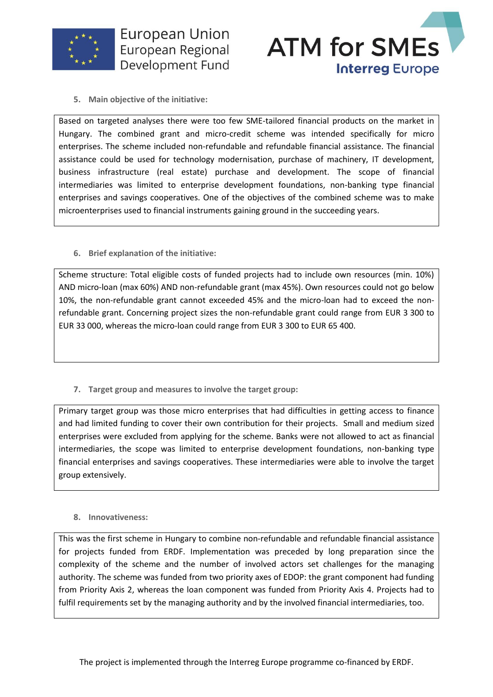



**5. Main objective of the initiative:**

Based on targeted analyses there were too few SME-tailored financial products on the market in Hungary. The combined grant and micro-credit scheme was intended specifically for micro enterprises. The scheme included non-refundable and refundable financial assistance. The financial assistance could be used for technology modernisation, purchase of machinery, IT development, business infrastructure (real estate) purchase and development. The scope of financial intermediaries was limited to enterprise development foundations, non-banking type financial enterprises and savings cooperatives. One of the objectives of the combined scheme was to make microenterprises used to financial instruments gaining ground in the succeeding years.

**6. Brief explanation of the initiative:**

Scheme structure: Total eligible costs of funded projects had to include own resources (min. 10%) AND micro-loan (max 60%) AND non-refundable grant (max 45%). Own resources could not go below 10%, the non-refundable grant cannot exceeded 45% and the micro-loan had to exceed the nonrefundable grant. Concerning project sizes the non-refundable grant could range from EUR 3 300 to EUR 33 000, whereas the micro-loan could range from EUR 3 300 to EUR 65 400.

**7. Target group and measures to involve the target group:**

Primary target group was those micro enterprises that had difficulties in getting access to finance and had limited funding to cover their own contribution for their projects. Small and medium sized enterprises were excluded from applying for the scheme. Banks were not allowed to act as financial intermediaries, the scope was limited to enterprise development foundations, non-banking type financial enterprises and savings cooperatives. These intermediaries were able to involve the target group extensively.

## **8. Innovativeness:**

This was the first scheme in Hungary to combine non-refundable and refundable financial assistance for projects funded from ERDF. Implementation was preceded by long preparation since the complexity of the scheme and the number of involved actors set challenges for the managing authority. The scheme was funded from two priority axes of EDOP: the grant component had funding from Priority Axis 2, whereas the loan component was funded from Priority Axis 4. Projects had to fulfil requirements set by the managing authority and by the involved financial intermediaries, too.